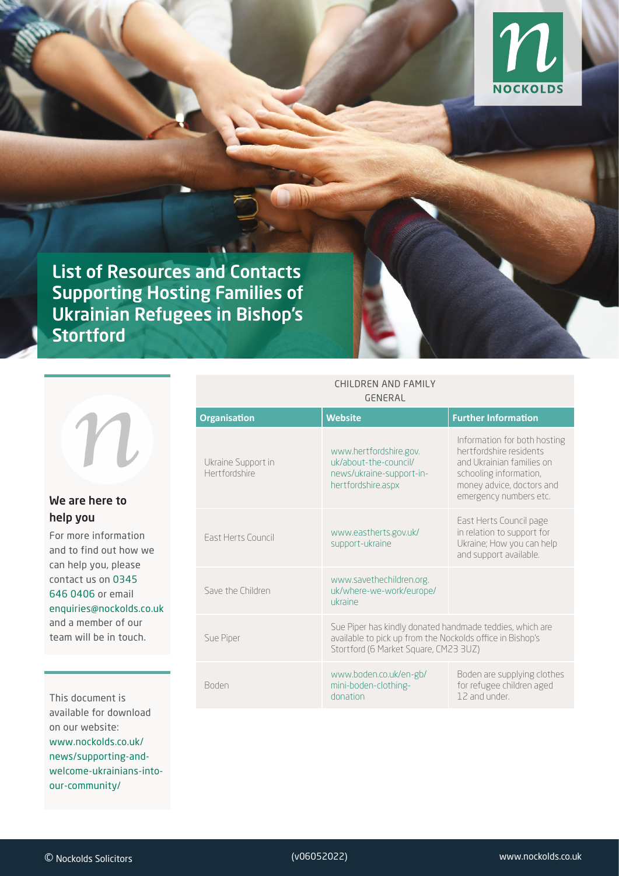

List of Resources and Contacts Supporting Hosting Families of Ukrainian Refugees in Bishop's **Stortford** 

# We are here to help you

For more information and to find out how we can help you, please contact us on 0345 646 0406 or email enquiries@nockolds.co.uk and a member of our team will be in touch.

 $\overline{\phantom{a}}$ 

This document is available for download on our website: www.nockolds.co.uk/ news/supporting-andwelcome-ukrainians-intoour-community/

### CHILDREN AND FAMILY GENERAL

| <b>Organisation</b>                 | Website                                                                                                                                                        | <b>Further Information</b>                                                                                                                                            |
|-------------------------------------|----------------------------------------------------------------------------------------------------------------------------------------------------------------|-----------------------------------------------------------------------------------------------------------------------------------------------------------------------|
| Ukraine Support in<br>Hertfordshire | www.hertfordshire.gov.<br>uk/about-the-council/<br>news/ukraine-support-in-<br>hertfordshire.aspx                                                              | Information for both hosting<br>hertfordshire residents<br>and Ukrainian families on<br>schooling information,<br>money advice, doctors and<br>emergency numbers etc. |
| <b>Fast Herts Council</b>           | www.eastherts.gov.uk/<br>support-ukraine                                                                                                                       | East Herts Council page<br>in relation to support for<br>Ukraine; How you can help<br>and support available.                                                          |
| Save the Children                   | www.savethechildren.org.<br>uk/where-we-work/europe/<br>ukraine                                                                                                |                                                                                                                                                                       |
| Sue Piper                           | Sue Piper has kindly donated handmade teddies, which are<br>available to pick up from the Nockolds office in Bishop's<br>Stortford (6 Market Square, CM23 3UZ) |                                                                                                                                                                       |
| <b>Boden</b>                        | www.boden.co.uk/en-gb/<br>mini-boden-clothing-<br>donation                                                                                                     | Boden are supplying clothes<br>for refugee children aged<br>12 and under.                                                                                             |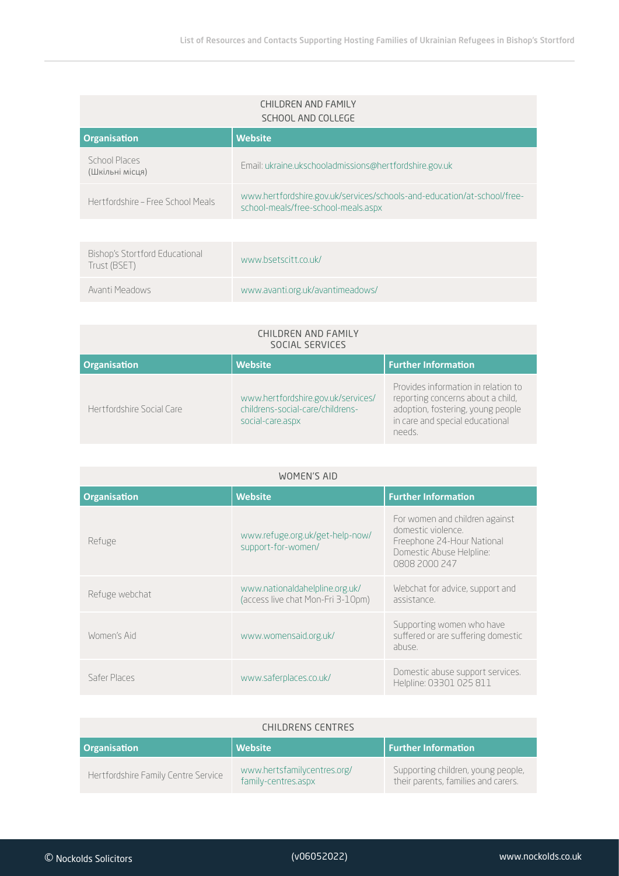| CHILDREN AND FAMILY<br>SCHOOL AND COLLEGE                                              |                                                                                                                |  |
|----------------------------------------------------------------------------------------|----------------------------------------------------------------------------------------------------------------|--|
| <b>Organisation</b>                                                                    | <b>Website</b>                                                                                                 |  |
| School Places<br>(Шкільні місця)                                                       | Email: ukraine.ukschooladmissions@hertfordshire.gov.uk                                                         |  |
| Hertfordshire - Free School Meals                                                      | www.hertfordshire.gov.uk/services/schools-and-education/at-school/free-<br>school-meals/free-school-meals.aspx |  |
|                                                                                        |                                                                                                                |  |
| <b>Bishop's Stortford Educational</b><br>$T_{\text{FU}} = + / D \subseteq \sqsubset T$ | www.bsetscitt.co.uk/                                                                                           |  |

| IIL(SL(BSE))   |                                  |
|----------------|----------------------------------|
| Avanti Meadows | www.avanti.org.uk/avantimeadows/ |

| CHILDREN AND FAMILY<br>SOCIAL SERVICES |                                                                                            |                                                                                                                                                            |
|----------------------------------------|--------------------------------------------------------------------------------------------|------------------------------------------------------------------------------------------------------------------------------------------------------------|
| <b>Organisation</b>                    | <b>Website</b>                                                                             | <b>Further Information</b>                                                                                                                                 |
| Hertfordshire Social Care              | www.hertfordshire.gov.uk/services/<br>childrens-social-care/childrens-<br>social-care.aspx | Provides information in relation to<br>reporting concerns about a child,<br>adoption, fostering, young people<br>in care and special educational<br>needs. |

| <b>WOMEN'S AID</b>  |                                                                     |                                                                                                                                 |
|---------------------|---------------------------------------------------------------------|---------------------------------------------------------------------------------------------------------------------------------|
| <b>Organisation</b> | <b>Website</b>                                                      | <b>Further Information</b>                                                                                                      |
| Refuge              | www.refuge.org.uk/get-help-now/<br>support-for-women/               | For women and children against<br>domestic violence.<br>Freephone 24-Hour National<br>Domestic Abuse Helpline:<br>0808 2000 247 |
| Refuge webchat      | www.nationaldahelpline.org.uk/<br>(access live chat Mon-Fri 3-10pm) | Webchat for advice, support and<br>assistance.                                                                                  |
| Women's Aid         | www.womensaid.org.uk/                                               | Supporting women who have<br>suffered or are suffering domestic<br>abuse.                                                       |
| Safer Places        | www.saferplaces.co.uk/                                              | Domestic abuse support services.<br>Helpline: 03301 025 811                                                                     |

| <b>CHILDRENS CENTRES</b>            |                                                    |                                                                           |
|-------------------------------------|----------------------------------------------------|---------------------------------------------------------------------------|
| <b>Organisation</b>                 | Website                                            | <b>Further Information</b>                                                |
| Hertfordshire Family Centre Service | www.hertsfamilycentres.org/<br>family-centres.aspx | Supporting children, young people,<br>their parents, families and carers. |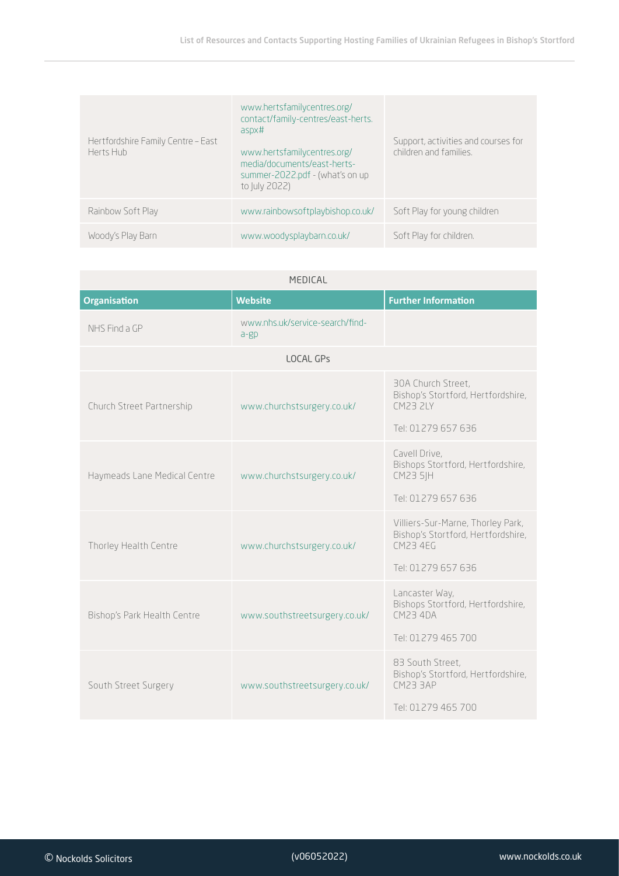| Hertfordshire Family Centre - East<br>Herts Hub | www.hertsfamilycentres.org/<br>contact/family-centres/east-herts.<br>aspx#<br>www.hertsfamilycentres.org/<br>media/documents/east-herts-<br>summer-2022.pdf - (what's on up<br>to July 2022) | Support, activities and courses for<br>children and families. |
|-------------------------------------------------|----------------------------------------------------------------------------------------------------------------------------------------------------------------------------------------------|---------------------------------------------------------------|
| Rainbow Soft Play                               | www.rainbowsoftplaybishop.co.uk/                                                                                                                                                             | Soft Play for young children                                  |
| Woody's Play Barn                               | www.woodysplaybarn.co.uk/                                                                                                                                                                    | Soft Play for children.                                       |

### MEDICAL

| <b>Organisation</b>          | <b>Website</b>                            | <b>Further Information</b>                                                        |
|------------------------------|-------------------------------------------|-----------------------------------------------------------------------------------|
| NHS Find a GP                | www.nhs.uk/service-search/find-<br>$a-gp$ |                                                                                   |
|                              | <b>LOCAL GPS</b>                          |                                                                                   |
| Church Street Partnership    | www.churchstsurgery.co.uk/                | 30A Church Street,<br>Bishop's Stortford, Hertfordshire,<br>CM23 2LY              |
|                              |                                           | Tel: 01279 657 636                                                                |
| Haymeads Lane Medical Centre | www.churchstsurgery.co.uk/                | Cavell Drive,<br>Bishops Stortford, Hertfordshire,<br><b>CM23 5 H</b>             |
|                              |                                           | Tel: 01279 657 636                                                                |
| Thorley Health Centre        | www.churchstsurgery.co.uk/                | Villiers-Sur-Marne, Thorley Park,<br>Bishop's Stortford, Hertfordshire,<br>M234FG |
|                              |                                           | Tel: 01279 657 636                                                                |
| Bishop's Park Health Centre  | www.southstreetsurgery.co.uk/             | Lancaster Way,<br>Bishops Stortford, Hertfordshire,<br>(M234DA                    |
|                              |                                           | Tel: 01279 465 700                                                                |
| South Street Surgery         | www.southstreetsurgery.co.uk/             | 83 South Street,<br>Bishop's Stortford, Hertfordshire,<br><b>CM23 3AP</b>         |
|                              |                                           | Tel: 01279 465 700                                                                |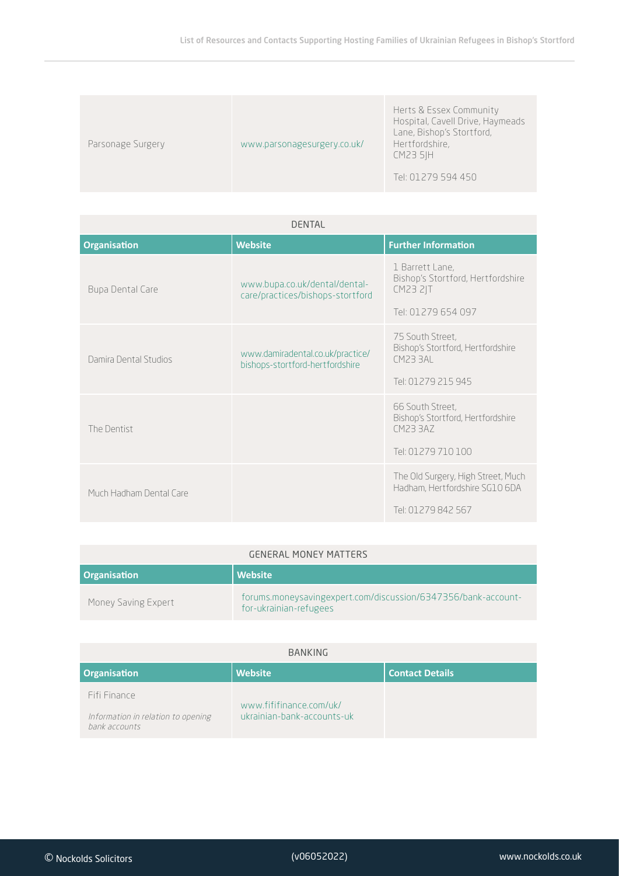| Parsonage Surgery | www.parsonagesurgery.co.uk/ | Herts & Essex Community<br>Hospital, Cavell Drive, Haymeads<br>Lane, Bishop's Stortford,<br>Hertfordshire,<br>CM23 5 H<br>Tel: 01 279 594 450 |
|-------------------|-----------------------------|-----------------------------------------------------------------------------------------------------------------------------------------------|
|                   |                             |                                                                                                                                               |

### DENTAL

| <b>Organisation</b>     | <b>Website</b>                                                      | <b>Further Information</b>                                                                 |
|-------------------------|---------------------------------------------------------------------|--------------------------------------------------------------------------------------------|
| Bupa Dental Care        | www.bupa.co.uk/dental/dental-<br>care/practices/bishops-stortford   | 1 Barrett Lane,<br>Bishop's Stortford, Hertfordshire<br>CM23 2JT<br>Tel: 01279 654 097     |
| Damira Dental Studios   | www.damiradental.co.uk/practice/<br>bishops-stortford-hertfordshire | 75 South Street,<br>Bishop's Stortford, Hertfordshire<br>CM23 3AL<br>Tel: 01279 215 945    |
| The Dentist             |                                                                     | 66 South Street,<br>Bishop's Stortford, Hertfordshire<br>CM23 3AZ<br>Tel: 01279 710 100    |
| Much Hadham Dental Care |                                                                     | The Old Surgery, High Street, Much<br>Hadham, Hertfordshire SG10 6DA<br>Tel: 01279 842 567 |

| <b>GENERAL MONEY MATTERS</b> |                                                                                         |  |
|------------------------------|-----------------------------------------------------------------------------------------|--|
| <b>Organisation</b>          | Website                                                                                 |  |
| Money Saving Expert          | forums.moneysavingexpert.com/discussion/6347356/bank-account-<br>for-ukrainian-refugees |  |

| BANKING                                             |                            |                        |
|-----------------------------------------------------|----------------------------|------------------------|
| <b>Organisation</b>                                 | <b>Website</b>             | <b>Contact Details</b> |
| Fifi Finance                                        | www.fififinance.com/uk/    |                        |
| Information in relation to opening<br>bank accounts | ukrainian-bank-accounts-uk |                        |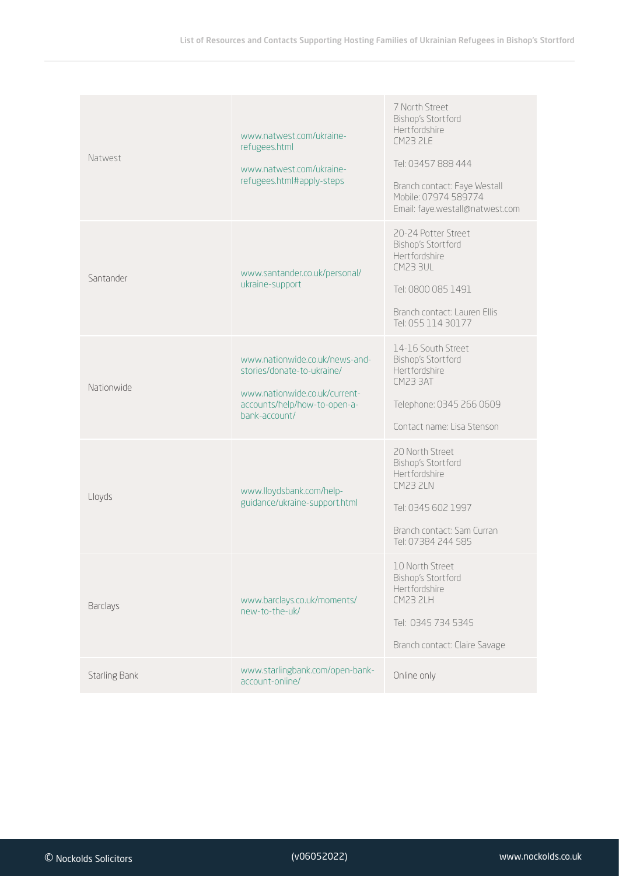| Natwest              | www.natwest.com/ukraine-<br>refugees.html<br>www.natwest.com/ukraine-<br>refugees.html#apply-steps                                             | 7 North Street<br>Bishop's Stortford<br>Hertfordshire<br><b>CM23 2LE</b><br>Tel: 03457 888 444<br>Branch contact: Faye Westall<br>Mobile: 07974 589774<br>Email: faye.westall@natwest.com |
|----------------------|------------------------------------------------------------------------------------------------------------------------------------------------|-------------------------------------------------------------------------------------------------------------------------------------------------------------------------------------------|
| Santander            | www.santander.co.uk/personal/<br>ukraine-support                                                                                               | 20-24 Potter Street<br>Bishop's Stortford<br>Hertfordshire<br><b>CM23 3UL</b><br>Tel: 0800 085 1491<br>Branch contact: Lauren Ellis<br>Tel: 055 114 30177                                 |
| Nationwide           | www.nationwide.co.uk/news-and-<br>stories/donate-to-ukraine/<br>www.nationwide.co.uk/current-<br>accounts/help/how-to-open-a-<br>bank-account/ | 14-16 South Street<br><b>Bishop's Stortford</b><br>Hertfordshire<br>CM23 3AT<br>Telephone: 0345 266 0609<br>Contact name: Lisa Stenson                                                    |
| Lloyds               | www.lloydsbank.com/help-<br>guidance/ukraine-support.html                                                                                      | 20 North Street<br><b>Bishop's Stortford</b><br>Hertfordshire<br><b>CM23 2LN</b><br>Tel: 0345 602 1997<br>Branch contact: Sam Curran<br>Tel: 07384 244 585                                |
| <b>Barclays</b>      | www.barclays.co.uk/moments/<br>new-to-the-uk/                                                                                                  | 10 North Street<br>Bishop's Stortford<br>Hertfordshire<br><b>CM23 2LH</b><br>Tel: 0345 734 5345<br>Branch contact: Claire Savage                                                          |
| <b>Starling Bank</b> | www.starlingbank.com/open-bank-<br>account-online/                                                                                             | Online only                                                                                                                                                                               |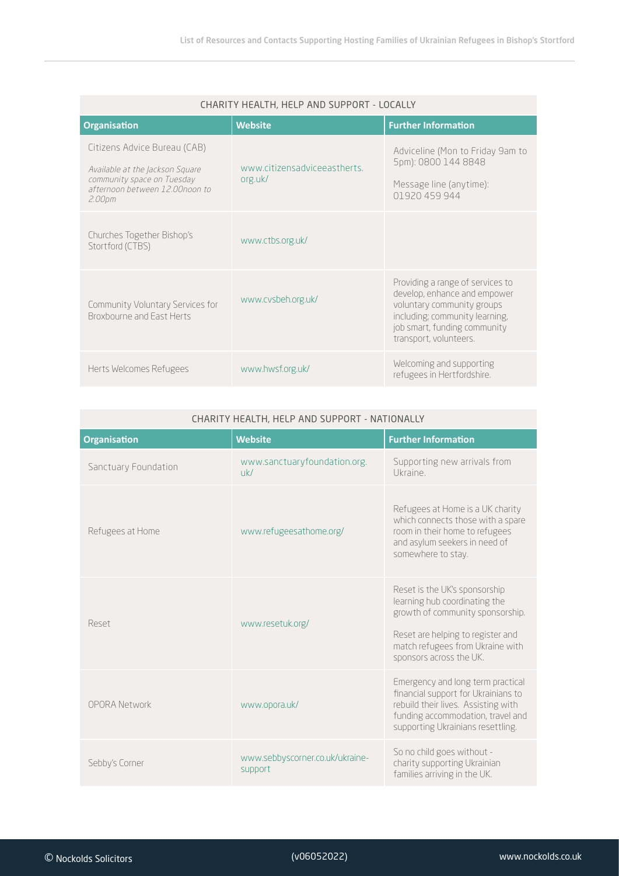| <b>Organisation</b>                                                                                                                       | <b>Website</b>                          | <b>Further Information</b>                                                                                                                                                                 |
|-------------------------------------------------------------------------------------------------------------------------------------------|-----------------------------------------|--------------------------------------------------------------------------------------------------------------------------------------------------------------------------------------------|
| Citizens Advice Bureau (CAB)<br>Available at the Jackson Square<br>community space on Tuesday<br>afternoon between 12.00noon to<br>2.00pm | www.citizensadviceeastherts.<br>org.uk/ | Adviceline (Mon to Friday 9am to<br>5pm): 0800 144 8848<br>Message line (anytime):<br>01920459944                                                                                          |
| Churches Together Bishop's<br>Stortford (CTBS)                                                                                            | www.ctbs.org.uk/                        |                                                                                                                                                                                            |
| Community Voluntary Services for<br><b>Broxbourne and Fast Herts</b>                                                                      | www.cvsbeh.org.uk/                      | Providing a range of services to<br>develop, enhance and empower<br>voluntary community groups<br>including; community learning,<br>job smart, funding community<br>transport, volunteers. |
| Herts Welcomes Refugees                                                                                                                   | www.hwsf.org.uk/                        | Welcoming and supporting<br>refugees in Hertfordshire.                                                                                                                                     |

### CHARITY HEALTH, HELP AND SUPPORT - LOCALLY

CHARITY HEALTH, HELP AND SUPPORT - NATIONALLY

| <b>Organisation</b>  | <b>Website</b>                             | <b>Further Information</b>                                                                                                                                                                             |
|----------------------|--------------------------------------------|--------------------------------------------------------------------------------------------------------------------------------------------------------------------------------------------------------|
| Sanctuary Foundation | www.sanctuaryfoundation.org.<br>$u_{k}$    | Supporting new arrivals from<br>Ukraine.                                                                                                                                                               |
| Refugees at Home     | www.refugeesathome.org/                    | Refugees at Home is a UK charity<br>which connects those with a spare<br>room in their home to refugees<br>and asylum seekers in need of<br>somewhere to stay.                                         |
| Reset                | www.resetuk.org/                           | Reset is the UK's sponsorship<br>learning hub coordinating the<br>growth of community sponsorship.<br>Reset are helping to register and<br>match refugees from Ukraine with<br>sponsors across the UK. |
| OPORA Network        | www.opora.uk/                              | Emergency and long term practical<br>financial support for Ukrainians to<br>rebuild their lives. Assisting with<br>funding accommodation, travel and<br>supporting Ukrainians resettling.              |
| Sebby's Corner       | www.sebbyscorner.co.uk/ukraine-<br>support | So no child goes without -<br>charity supporting Ukrainian<br>families arriving in the UK.                                                                                                             |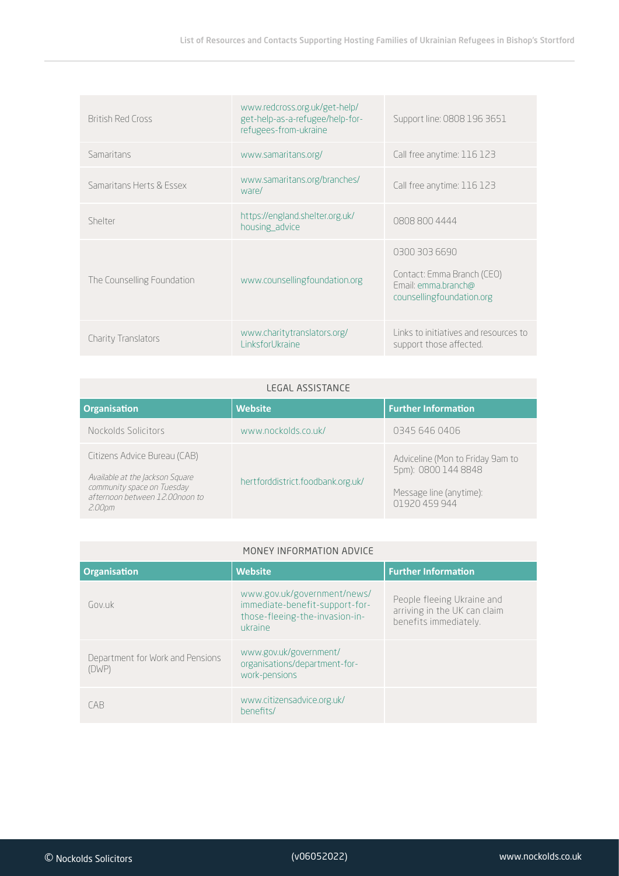| <b>British Red Cross</b>   | www.redcross.org.uk/get-help/<br>get-help-as-a-refugee/help-for-<br>refugees-from-ukraine | Support line: 0808 196 3651                                                                     |
|----------------------------|-------------------------------------------------------------------------------------------|-------------------------------------------------------------------------------------------------|
| Samaritans                 | www.samaritans.org/                                                                       | Call free anytime: 116 123                                                                      |
| Samaritans Herts & Essex   | www.samaritans.org/branches/<br>ware/                                                     | Call free anytime: 116 123                                                                      |
| Shelter                    | https://england.shelter.org.uk/<br>housing_advice                                         | 0808 800 4444                                                                                   |
| The Counselling Foundation | www.counsellingfoundation.org                                                             | 0300 303 6690<br>Contact: Emma Branch (CEO)<br>Email: emma.branch@<br>counsellingfoundation.org |
| Charity Translators        | www.charitytranslators.org/<br>LinksforUkraine                                            | Links to initiatives and resources to<br>support those affected.                                |

## LEGAL ASSISTANCE

| <b>Organisation</b>                                                                                                                       | <b>Website</b>                    | <b>Further Information</b>                                                                        |
|-------------------------------------------------------------------------------------------------------------------------------------------|-----------------------------------|---------------------------------------------------------------------------------------------------|
| Nockolds Solicitors                                                                                                                       | www.nockolds.co.uk/               | 0345 646 0406                                                                                     |
| Citizens Advice Bureau (CAB)<br>Available at the Jackson Square<br>community space on Tuesday<br>afternoon between 12.00noon to<br>2.00pm | hertforddistrict.foodbank.org.uk/ | Adviceline (Mon to Friday 9am to<br>5pm): 0800 144 8848<br>Message line (anytime):<br>01920459944 |

| MONEY INFORMATION ADVICE                  |                                                                                                            |                                                                                     |
|-------------------------------------------|------------------------------------------------------------------------------------------------------------|-------------------------------------------------------------------------------------|
| <b>Organisation</b>                       | <b>Website</b>                                                                                             | <b>Further Information</b>                                                          |
| GOVIJK                                    | www.gov.uk/government/news/<br>immediate-benefit-support-for-<br>those-fleeing-the-invasion-in-<br>ukraine | People fleeing Ukraine and<br>arriving in the UK can claim<br>benefits immediately. |
| Department for Work and Pensions<br>(DWP) | www.gov.uk/government/<br>organisations/department-for-<br>work-pensions                                   |                                                                                     |
| CAB                                       | www.citizensadvice.org.uk/<br>benefits/                                                                    |                                                                                     |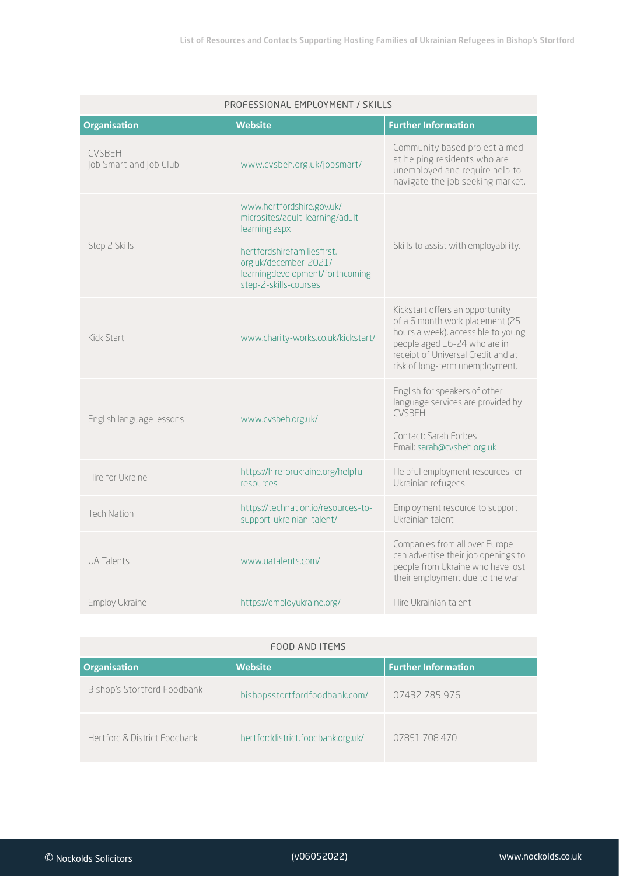| PROFESSIONAL EMPLOYMENT / SKILLS        |                                                                                                                                                                                                     |                                                                                                                                                                                                                   |
|-----------------------------------------|-----------------------------------------------------------------------------------------------------------------------------------------------------------------------------------------------------|-------------------------------------------------------------------------------------------------------------------------------------------------------------------------------------------------------------------|
| <b>Organisation</b>                     | <b>Website</b>                                                                                                                                                                                      | <b>Further Information</b>                                                                                                                                                                                        |
| <b>CVSBEH</b><br>Job Smart and Job Club | www.cvsbeh.org.uk/jobsmart/                                                                                                                                                                         | Community based project aimed<br>at helping residents who are<br>unemployed and require help to<br>navigate the job seeking market.                                                                               |
| Step 2 Skills                           | www.hertfordshire.gov.uk/<br>microsites/adult-learning/adult-<br>learning.aspx<br>hertfordshirefamiliesfirst.<br>org.uk/december-2021/<br>learningdevelopment/forthcoming-<br>step-2-skills-courses | Skills to assist with employability.                                                                                                                                                                              |
| Kick Start                              | www.charity-works.co.uk/kickstart/                                                                                                                                                                  | Kickstart offers an opportunity<br>of a 6 month work placement (25<br>hours a week), accessible to young<br>people aged 16-24 who are in<br>receipt of Universal Credit and at<br>risk of long-term unemployment. |
| English language lessons                | www.cvsbeh.org.uk/                                                                                                                                                                                  | English for speakers of other<br>language services are provided by<br><b>CVSBEH</b><br>Contact: Sarah Forbes<br>Email: sarah@cvsbeh.org.uk                                                                        |
| Hire for Ukraine                        | https://hireforukraine.org/helpful-<br>resources                                                                                                                                                    | Helpful employment resources for<br>Ukrainian refugees                                                                                                                                                            |
| <b>Tech Nation</b>                      | https://technation.io/resources-to-<br>support-ukrainian-talent/                                                                                                                                    | Employment resource to support<br>Ukrainian talent                                                                                                                                                                |
| UA Talents                              | www.uatalents.com/                                                                                                                                                                                  | Companies from all over Europe<br>can advertise their job openings to<br>people from Ukraine who have lost<br>their employment due to the war                                                                     |
| Employ Ukraine                          | https://employukraine.org/                                                                                                                                                                          | Hire Ukrainian talent                                                                                                                                                                                             |

| FOOD AND ITEMS               |                                   |                            |
|------------------------------|-----------------------------------|----------------------------|
| <b>Organisation</b>          | <b>Website</b>                    | <b>Further Information</b> |
| Bishop's Stortford Foodbank  | bishopsstortfordfoodbank.com/     | 07432 785 976              |
| Hertford & District Foodbank | hertforddistrict.foodbank.org.uk/ | 07851 708 470              |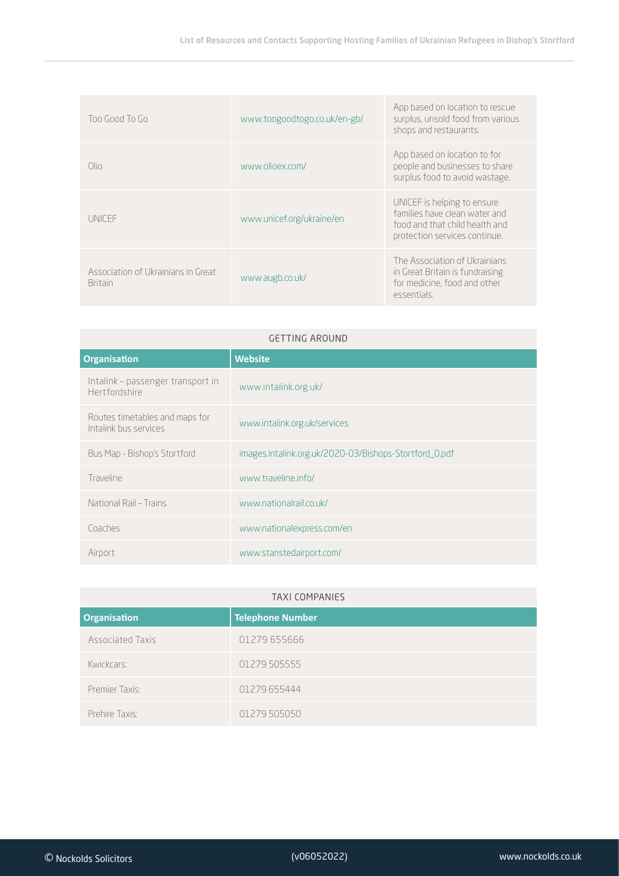| Too Good To Go                                       | www.toogoodtogo.co.uk/en-gb/ | App based on location to rescue<br>surplus, unsold food from various<br>shops and restaurants.                                  |
|------------------------------------------------------|------------------------------|---------------------------------------------------------------------------------------------------------------------------------|
| Olio                                                 | www.olioex.com/              | App based on location to for<br>people and businesses to share<br>surplus food to avoid wastage.                                |
| UNICEE                                               | www.unicef.org/ukraine/en    | UNICEF is helping to ensure<br>families have clean water and<br>food and that child health and<br>protection services continue. |
| Association of Ukrainians in Great<br><b>Britain</b> | www.augb.co.uk/              | The Association of Ukrainians<br>in Great Britain is fundraising<br>for medicine, food and other<br>essentials.                 |

| <b>GETTING AROUND</b>                                   |                                                        |
|---------------------------------------------------------|--------------------------------------------------------|
| <b>Organisation</b>                                     | <b>Website</b>                                         |
| Intalink - passenger transport in<br>Hertfordshire      | www.intalink.org.uk/                                   |
| Routes timetables and maps for<br>Intalink bus services | www.intalink.org.uk/services                           |
| Bus Map - Bishop's Stortford                            | images.intalink.org.uk/2020-03/Bishops-Stortford_0.pdf |
| Traveline                                               | www.traveline.info/                                    |
| National Rail - Trains                                  | www.nationalrail.co.uk/                                |
| Coaches                                                 | www.nationalexpress.com/en                             |
| Airport                                                 | www.stanstedairport.com/                               |

| <b>TAXI COMPANIES</b> |                         |
|-----------------------|-------------------------|
| <b>Organisation</b>   | <b>Telephone Number</b> |
| Associated Taxis      | 01279 655666            |
| Kwickcars:            | 01279 505555            |
| Premier Taxis:        | 01279655444             |
| Prehire Taxis:        | 01279 505050            |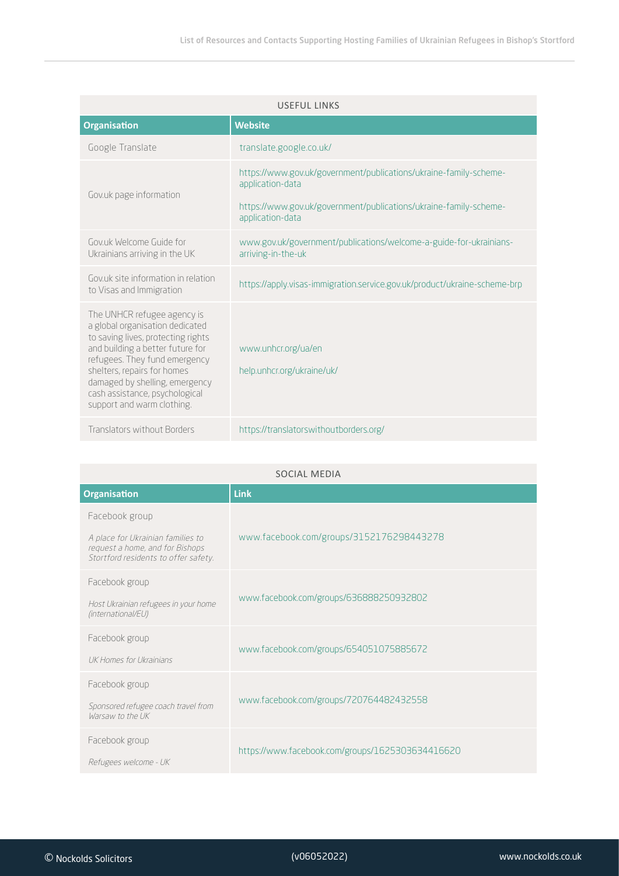| <b>USEFUL LINKS</b>                                                                                                                                                                                                                                                                                        |                                                                                                                                                                                |
|------------------------------------------------------------------------------------------------------------------------------------------------------------------------------------------------------------------------------------------------------------------------------------------------------------|--------------------------------------------------------------------------------------------------------------------------------------------------------------------------------|
| <b>Organisation</b>                                                                                                                                                                                                                                                                                        | <b>Website</b>                                                                                                                                                                 |
| Google Translate                                                                                                                                                                                                                                                                                           | translate.google.co.uk/                                                                                                                                                        |
| Gov.uk page information                                                                                                                                                                                                                                                                                    | https://www.gov.uk/government/publications/ukraine-family-scheme-<br>application-data<br>https://www.gov.uk/government/publications/ukraine-family-scheme-<br>application-data |
| Gov.uk Welcome Guide for<br>Ukrainians arriving in the UK                                                                                                                                                                                                                                                  | www.gov.uk/government/publications/welcome-a-guide-for-ukrainians-<br>arriving-in-the-uk                                                                                       |
| Gov.uk site information in relation<br>to Visas and Immigration                                                                                                                                                                                                                                            | https://apply.visas-immigration.service.gov.uk/product/ukraine-scheme-brp                                                                                                      |
| The UNHCR refugee agency is<br>a global organisation dedicated<br>to saving lives, protecting rights<br>and building a better future for<br>refugees. They fund emergency<br>shelters, repairs for homes<br>damaged by shelling, emergency<br>cash assistance, psychological<br>support and warm clothing. | www.unhcr.org/ua/en<br>help.unhcr.org/ukraine/uk/                                                                                                                              |
| <b>Translators without Borders</b>                                                                                                                                                                                                                                                                         | https://translatorswithoutborders.org/                                                                                                                                         |

| SOCIAL MEDIA                                                                                                 |                                                  |
|--------------------------------------------------------------------------------------------------------------|--------------------------------------------------|
| <b>Organisation</b>                                                                                          | <b>Link</b>                                      |
| Facebook group                                                                                               |                                                  |
| A place for Ukrainian families to<br>request a home, and for Bishops<br>Stortford residents to offer safety. | www.facebook.com/groups/3152176298443278         |
| Facebook group                                                                                               | www.facebook.com/groups/636888250932802          |
| Host Ukrainian refugees in your home<br>(international/EU)                                                   |                                                  |
| Facebook group                                                                                               | www.facebook.com/groups/654051075885672          |
| UK Homes for Ukrainians                                                                                      |                                                  |
| Facebook group                                                                                               | www.facebook.com/groups/720764482432558          |
| Sponsored refugee coach travel from<br>Warsaw to the UK                                                      |                                                  |
| Facebook group                                                                                               | https://www.facebook.com/groups/1625303634416620 |
| Refugees welcome - UK                                                                                        |                                                  |